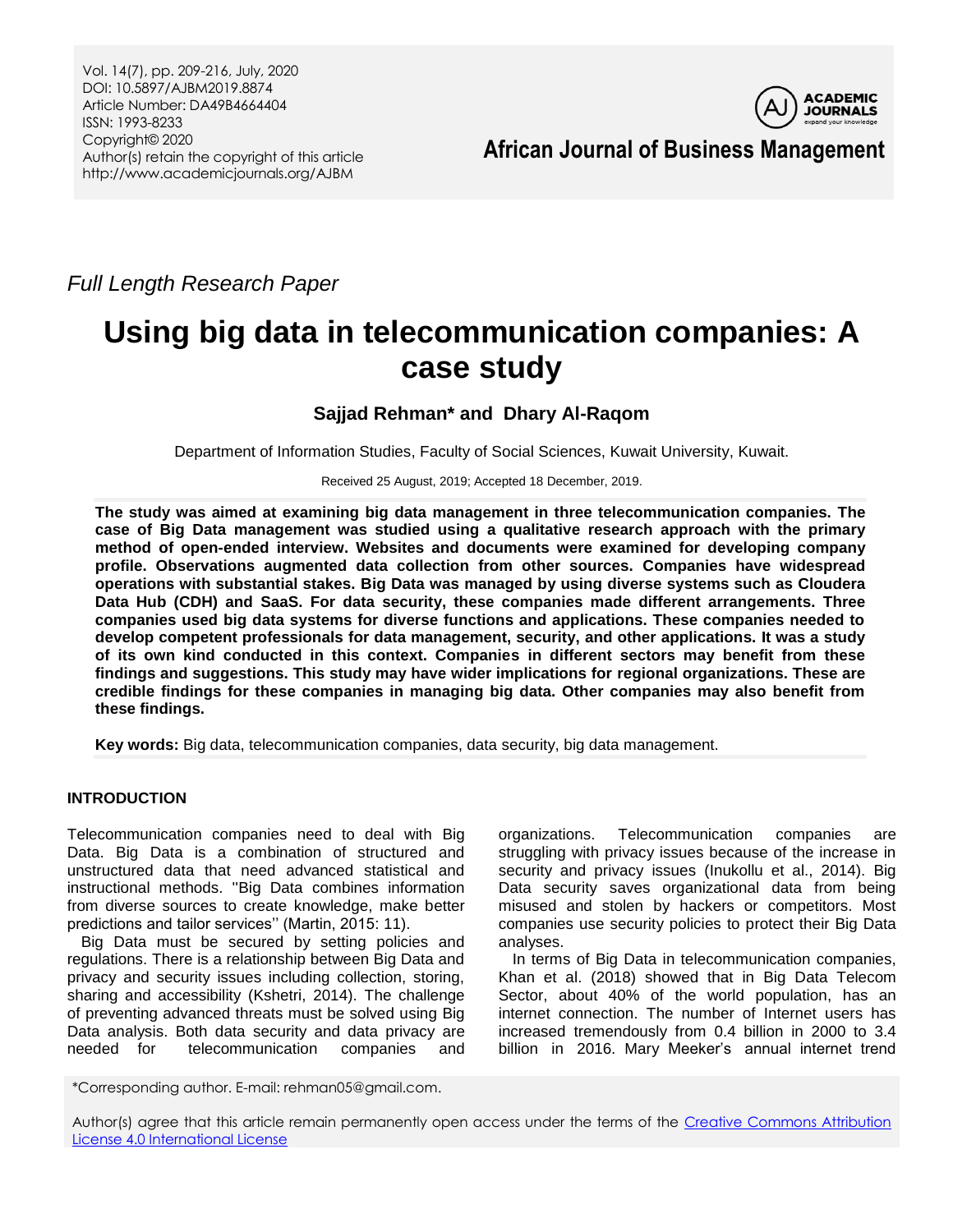

**African Journal of Business Management**

*Full Length Research Paper*

# **Using big data in telecommunication companies: A case study**

**Sajjad Rehman\* and Dhary Al-Raqom**

Department of Information Studies, Faculty of Social Sciences, Kuwait University, Kuwait.

Received 25 August, 2019; Accepted 18 December, 2019.

**The study was aimed at examining big data management in three telecommunication companies. The case of Big Data management was studied using a qualitative research approach with the primary method of open-ended interview. Websites and documents were examined for developing company profile. Observations augmented data collection from other sources. Companies have widespread operations with substantial stakes. Big Data was managed by using diverse systems such as Cloudera Data Hub (CDH) and SaaS. For data security, these companies made different arrangements. Three companies used big data systems for diverse functions and applications. These companies needed to develop competent professionals for data management, security, and other applications. It was a study of its own kind conducted in this context. Companies in different sectors may benefit from these findings and suggestions. This study may have wider implications for regional organizations. These are credible findings for these companies in managing big data. Other companies may also benefit from these findings.**

**Key words:** Big data, telecommunication companies, data security, big data management.

# **INTRODUCTION**

Telecommunication companies need to deal with Big Data. Big Data is a combination of structured and unstructured data that need advanced statistical and instructional methods. ''Big Data combines information from diverse sources to create knowledge, make better predictions and tailor services" (Martin, 2015: 11).

Big Data must be secured by setting policies and regulations. There is a relationship between Big Data and privacy and security issues including collection, storing, sharing and accessibility (Kshetri, 2014). The challenge of preventing advanced threats must be solved using Big Data analysis. Both data security and data privacy are needed for telecommunication companies and organizations. Telecommunication companies are struggling with privacy issues because of the increase in security and privacy issues (Inukollu et al., 2014). Big Data security saves organizational data from being misused and stolen by hackers or competitors. Most companies use security policies to protect their Big Data analyses.

In terms of Big Data in telecommunication companies, Khan et al. (2018) showed that in Big Data Telecom Sector, about 40% of the world population, has an internet connection. The number of Internet users has increased tremendously from 0.4 billion in 2000 to 3.4 billion in 2016. Mary Meeker's annual internet trend

\*Corresponding author. E-mail: rehman05@gmail.com.

Author(s) agree that this article remain permanently open access under the terms of the Creative Commons Attribution [License 4.0 International License](http://creativecommons.org/licenses/by/4.0/deed.en_US)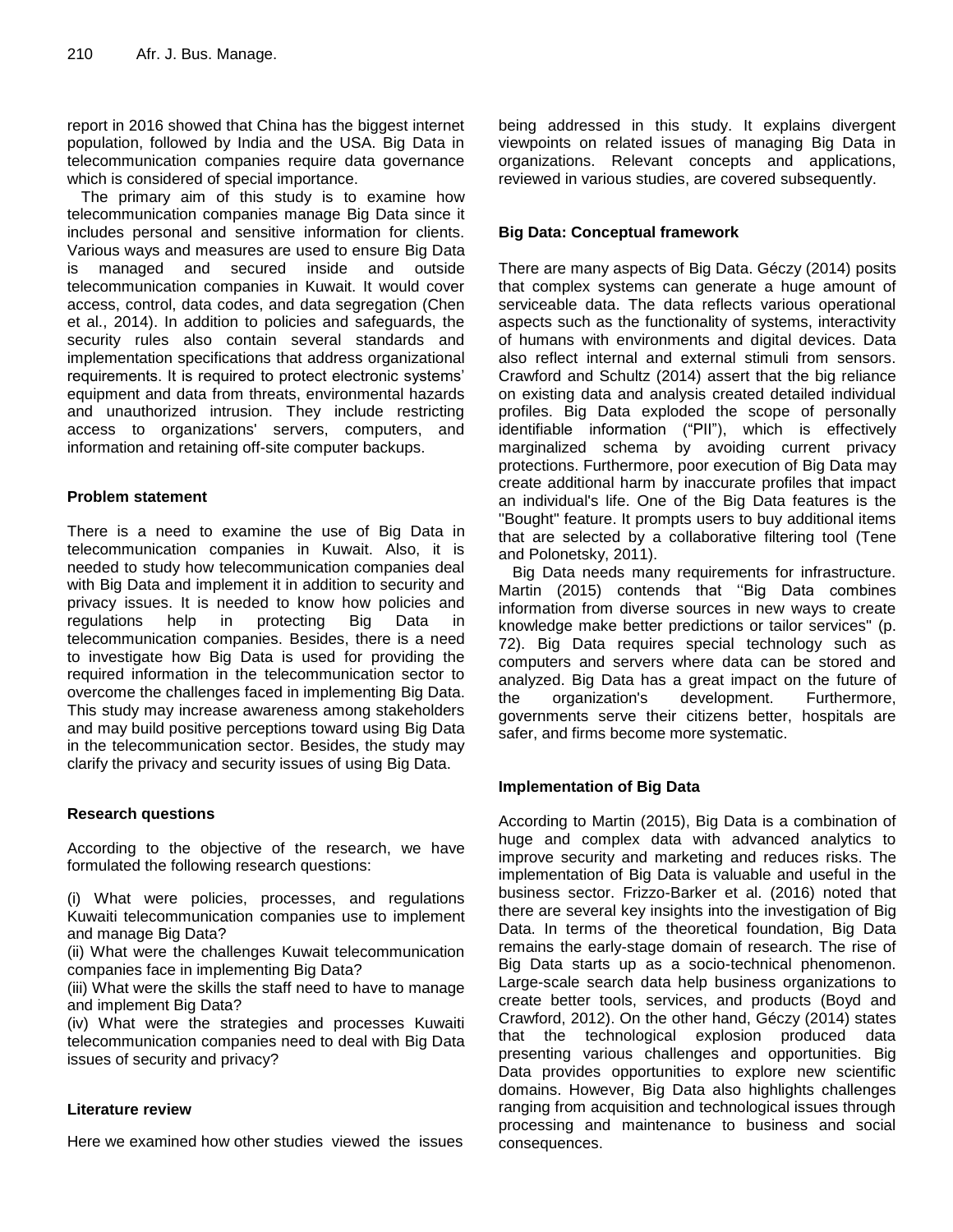report in 2016 showed that China has the biggest internet population, followed by India and the USA. Big Data in telecommunication companies require data governance which is considered of special importance.

The primary aim of this study is to examine how telecommunication companies manage Big Data since it includes personal and sensitive information for clients. Various ways and measures are used to ensure Big Data is managed and secured inside and outside telecommunication companies in Kuwait. It would cover access, control, data codes, and data segregation (Chen et al., 2014). In addition to policies and safeguards, the security rules also contain several standards and implementation specifications that address organizational requirements. It is required to protect electronic systems" equipment and data from threats, environmental hazards and unauthorized intrusion. They include restricting access to organizations' servers, computers, and information and retaining off-site computer backups.

# **Problem statement**

There is a need to examine the use of Big Data in telecommunication companies in Kuwait. Also, it is needed to study how telecommunication companies deal with Big Data and implement it in addition to security and privacy issues. It is needed to know how policies and regulations help in protecting Big Data in telecommunication companies. Besides, there is a need to investigate how Big Data is used for providing the required information in the telecommunication sector to overcome the challenges faced in implementing Big Data. This study may increase awareness among stakeholders and may build positive perceptions toward using Big Data in the telecommunication sector. Besides, the study may clarify the privacy and security issues of using Big Data.

# **Research questions**

According to the objective of the research, we have formulated the following research questions:

(i) What were policies, processes, and regulations Kuwaiti telecommunication companies use to implement and manage Big Data?

(ii) What were the challenges Kuwait telecommunication companies face in implementing Big Data?

(iii) What were the skills the staff need to have to manage and implement Big Data?

(iv) What were the strategies and processes Kuwaiti telecommunication companies need to deal with Big Data issues of security and privacy?

# **Literature review**

Here we examined how other studies viewed the issues

being addressed in this study. It explains divergent viewpoints on related issues of managing Big Data in organizations. Relevant concepts and applications, reviewed in various studies, are covered subsequently.

# **Big Data: Conceptual framework**

There are many aspects of Big Data. Géczy (2014) posits that complex systems can generate a huge amount of serviceable data. The data reflects various operational aspects such as the functionality of systems, interactivity of humans with environments and digital devices. Data also reflect internal and external stimuli from sensors. Crawford and Schultz (2014) assert that the big reliance on existing data and analysis created detailed individual profiles. Big Data exploded the scope of personally identifiable information ("PII"), which is effectively marginalized schema by avoiding current privacy protections. Furthermore, poor execution of Big Data may create additional harm by inaccurate profiles that impact an individual's life. One of the Big Data features is the ''Bought" feature. It prompts users to buy additional items that are selected by a collaborative filtering tool (Tene and Polonetsky, 2011).

Big Data needs many requirements for infrastructure. Martin (2015) contends that "Big Data combines information from diverse sources in new ways to create knowledge make better predictions or tailor services'' (p. 72). Big Data requires special technology such as computers and servers where data can be stored and analyzed. Big Data has a great impact on the future of the organization's development. Furthermore, governments serve their citizens better, hospitals are safer, and firms become more systematic.

# **Implementation of Big Data**

According to Martin (2015), Big Data is a combination of huge and complex data with advanced analytics to improve security and marketing and reduces risks. The implementation of Big Data is valuable and useful in the business sector. Frizzo-Barker et al. (2016) noted that there are several key insights into the investigation of Big Data. In terms of the theoretical foundation, Big Data remains the early-stage domain of research. The rise of Big Data starts up as a socio-technical phenomenon. Large-scale search data help business organizations to create better tools, services, and products (Boyd and Crawford, 2012). On the other hand, Géczy (2014) states that the technological explosion produced data presenting various challenges and opportunities. Big Data provides opportunities to explore new scientific domains. However, Big Data also highlights challenges ranging from acquisition and technological issues through processing and maintenance to business and social consequences.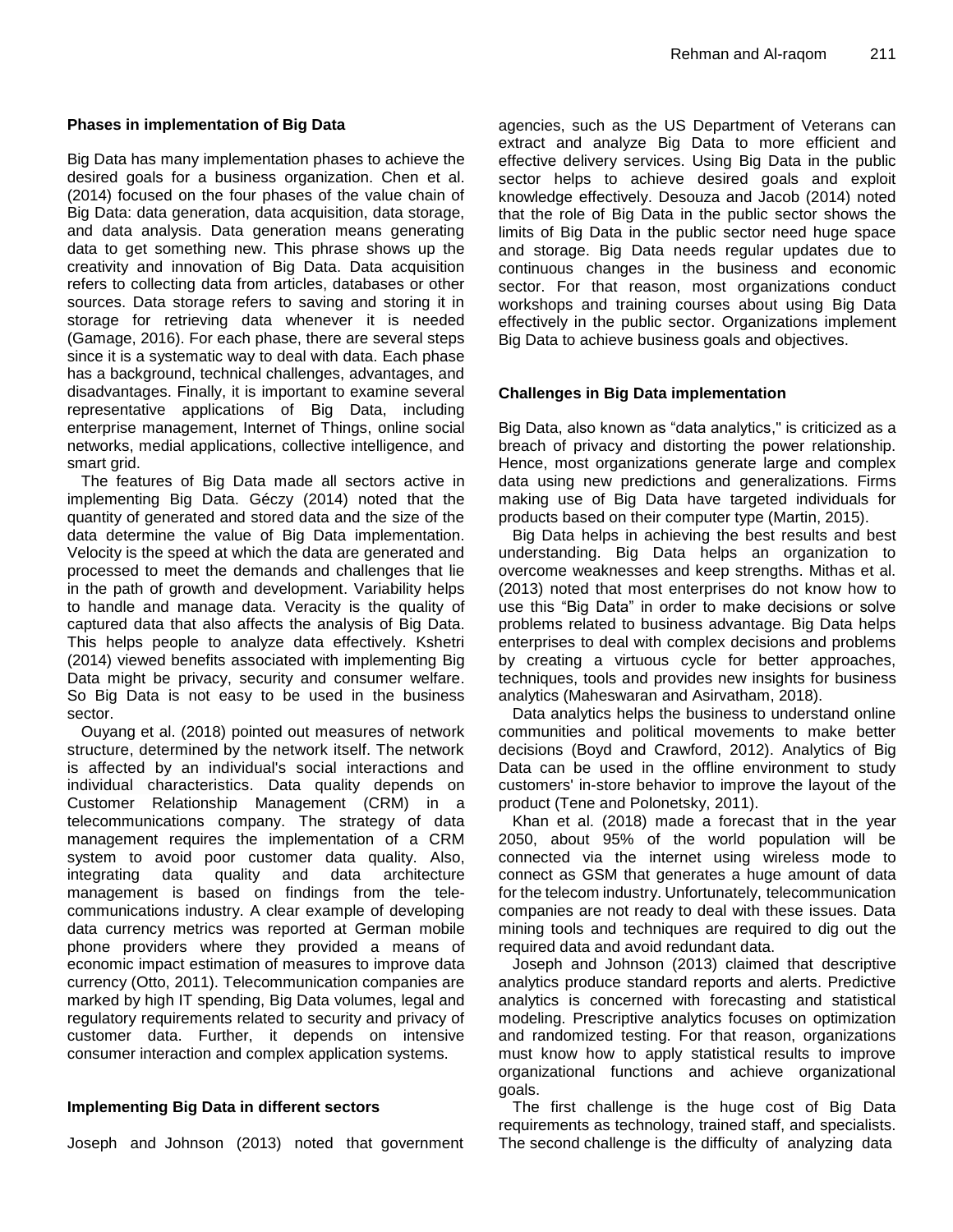## **Phases in implementation of Big Data**

Big Data has many implementation phases to achieve the desired goals for a business organization. Chen et al. (2014) focused on the four phases of the value chain of Big Data: data generation, data acquisition, data storage, and data analysis. Data generation means generating data to get something new. This phrase shows up the creativity and innovation of Big Data. Data acquisition refers to collecting data from articles, databases or other sources. Data storage refers to saving and storing it in storage for retrieving data whenever it is needed (Gamage, 2016). For each phase, there are several steps since it is a systematic way to deal with data. Each phase has a background, technical challenges, advantages, and disadvantages. Finally, it is important to examine several representative applications of Big Data, including enterprise management, Internet of Things, online social networks, medial applications, collective intelligence, and smart grid.

The features of Big Data made all sectors active in implementing Big Data. Géczy (2014) noted that the quantity of generated and stored data and the size of the data determine the value of Big Data implementation. Velocity is the speed at which the data are generated and processed to meet the demands and challenges that lie in the path of growth and development. Variability helps to handle and manage data. Veracity is the quality of captured data that also affects the analysis of Big Data. This helps people to analyze data effectively. Kshetri (2014) viewed benefits associated with implementing Big Data might be privacy, security and consumer welfare. So Big Data is not easy to be used in the business sector.

Ouyang et al. (2018) pointed out measures of network structure, determined by the network itself. The network is affected by an individual's social interactions and individual characteristics. Data quality depends on Customer Relationship Management (CRM) in a telecommunications company. The strategy of data management requires the implementation of a CRM system to avoid poor customer data quality. Also, integrating data quality and data architecture management is based on findings from the telecommunications industry. A clear example of developing data currency metrics was reported at German mobile phone providers where they provided a means of economic impact estimation of measures to improve data currency (Otto, 2011). Telecommunication companies are marked by high IT spending, Big Data volumes, legal and regulatory requirements related to security and privacy of customer data. Further, it depends on intensive consumer interaction and complex application systems.

# **Implementing Big Data in different sectors**

Joseph and Johnson (2013) noted that government

agencies, such as the US Department of Veterans can extract and analyze Big Data to more efficient and effective delivery services. Using Big Data in the public sector helps to achieve desired goals and exploit knowledge effectively. Desouza and Jacob (2014) noted that the role of Big Data in the public sector shows the limits of Big Data in the public sector need huge space and storage. Big Data needs regular updates due to continuous changes in the business and economic sector. For that reason, most organizations conduct workshops and training courses about using Big Data effectively in the public sector. Organizations implement Big Data to achieve business goals and objectives.

# **Challenges in Big Data implementation**

Big Data, also known as "data analytics," is criticized as a breach of privacy and distorting the power relationship. Hence, most organizations generate large and complex data using new predictions and generalizations. Firms making use of Big Data have targeted individuals for products based on their computer type (Martin, 2015).

Big Data helps in achieving the best results and best understanding. Big Data helps an organization to overcome weaknesses and keep strengths. Mithas et al. (2013) noted that most enterprises do not know how to use this "Big Data" in order to make decisions or solve problems related to business advantage. Big Data helps enterprises to deal with complex decisions and problems by creating a virtuous cycle for better approaches, techniques, tools and provides new insights for business analytics (Maheswaran and Asirvatham, 2018).

Data analytics helps the business to understand online communities and political movements to make better decisions (Boyd and Crawford, 2012). Analytics of Big Data can be used in the offline environment to study customers' in-store behavior to improve the layout of the product (Tene and Polonetsky, 2011).

Khan et al. (2018) made a forecast that in the year 2050, about 95% of the world population will be connected via the internet using wireless mode to connect as GSM that generates a huge amount of data for the telecom industry. Unfortunately, telecommunication companies are not ready to deal with these issues. Data mining tools and techniques are required to dig out the required data and avoid redundant data.

Joseph and Johnson (2013) claimed that descriptive analytics produce standard reports and alerts. Predictive analytics is concerned with forecasting and statistical modeling. Prescriptive analytics focuses on optimization and randomized testing. For that reason, organizations must know how to apply statistical results to improve organizational functions and achieve organizational goals.

The first challenge is the huge cost of Big Data requirements as technology, trained staff, and specialists. The second challenge is the difficulty of analyzing data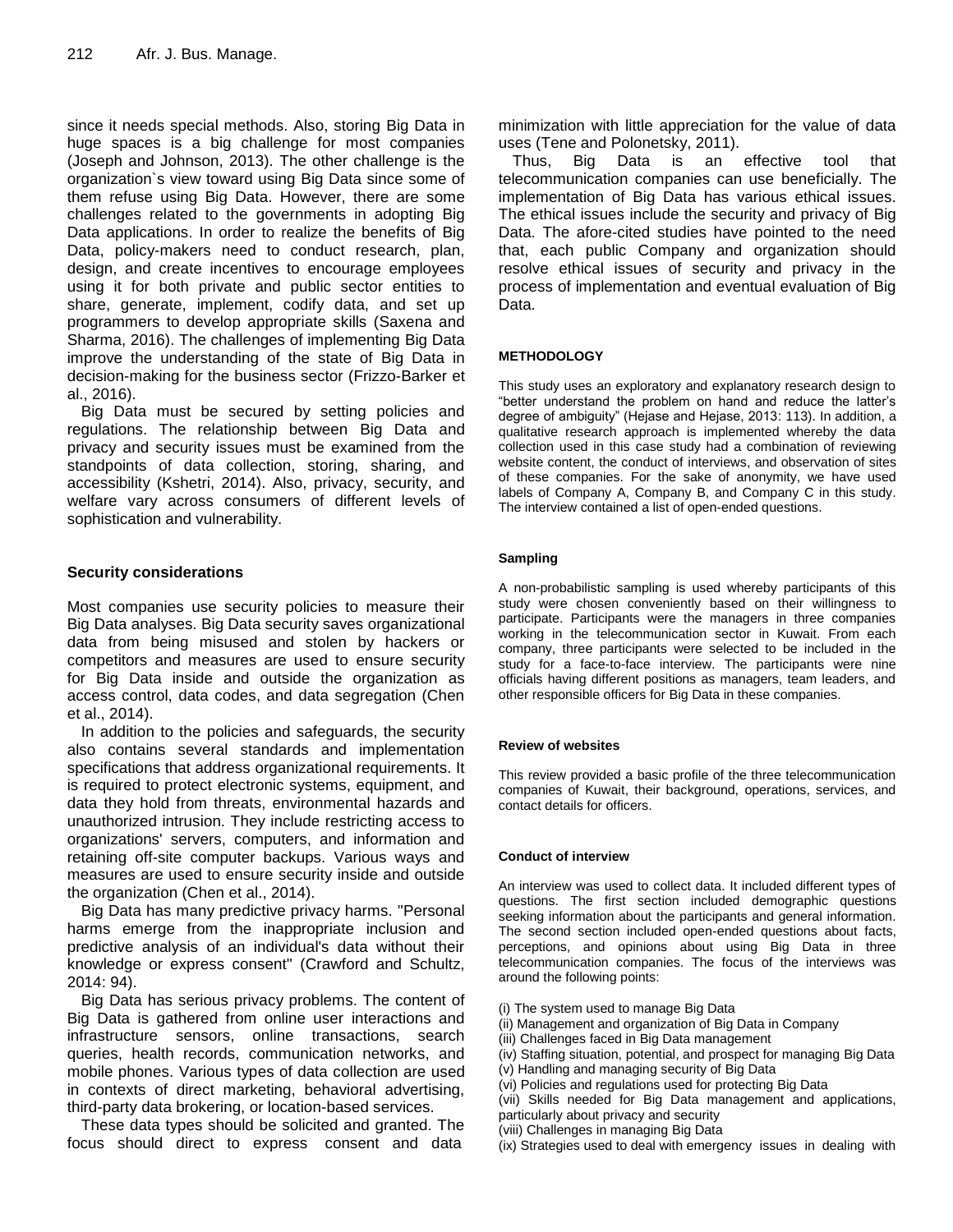since it needs special methods. Also, storing Big Data in huge spaces is a big challenge for most companies (Joseph and Johnson, 2013). The other challenge is the organization`s view toward using Big Data since some of them refuse using Big Data. However, there are some challenges related to the governments in adopting Big Data applications. In order to realize the benefits of Big Data, policy-makers need to conduct research, plan, design, and create incentives to encourage employees using it for both private and public sector entities to share, generate, implement, codify data, and set up programmers to develop appropriate skills (Saxena and Sharma, 2016). The challenges of implementing Big Data improve the understanding of the state of Big Data in decision-making for the business sector (Frizzo-Barker et al., 2016).

Big Data must be secured by setting policies and regulations. The relationship between Big Data and privacy and security issues must be examined from the standpoints of data collection, storing, sharing, and accessibility (Kshetri, 2014). Also, privacy, security, and welfare vary across consumers of different levels of sophistication and vulnerability.

# **Security considerations**

Most companies use security policies to measure their Big Data analyses. Big Data security saves organizational data from being misused and stolen by hackers or competitors and measures are used to ensure security for Big Data inside and outside the organization as access control, data codes, and data segregation (Chen et al., 2014).

In addition to the policies and safeguards, the security also contains several standards and implementation specifications that address organizational requirements. It is required to protect electronic systems, equipment, and data they hold from threats, environmental hazards and unauthorized intrusion. They include restricting access to organizations' servers, computers, and information and retaining off-site computer backups. Various ways and measures are used to ensure security inside and outside the organization (Chen et al., 2014).

Big Data has many predictive privacy harms. ''Personal harms emerge from the inappropriate inclusion and predictive analysis of an individual's data without their knowledge or express consent'' (Crawford and Schultz, 2014: 94).

Big Data has serious privacy problems. The content of Big Data is gathered from online user interactions and infrastructure sensors, online transactions, search queries, health records, communication networks, and mobile phones. Various types of data collection are used in contexts of direct marketing, behavioral advertising, third-party data brokering, or location-based services.

These data types should be solicited and granted. The focus should direct to express consent and data

minimization with little appreciation for the value of data uses (Tene and Polonetsky, 2011).

Thus, Big Data is an effective tool that telecommunication companies can use beneficially. The implementation of Big Data has various ethical issues. The ethical issues include the security and privacy of Big Data. The afore-cited studies have pointed to the need that, each public Company and organization should resolve ethical issues of security and privacy in the process of implementation and eventual evaluation of Big Data.

# **METHODOLOGY**

This study uses an exploratory and explanatory research design to "better understand the problem on hand and reduce the latter"s degree of ambiguity" (Hejase and Hejase, 2013: 113). In addition, a qualitative research approach is implemented whereby the data collection used in this case study had a combination of reviewing website content, the conduct of interviews, and observation of sites of these companies. For the sake of anonymity, we have used labels of Company A, Company B, and Company C in this study. The interview contained a list of open-ended questions.

## **Sampling**

A non-probabilistic sampling is used whereby participants of this study were chosen conveniently based on their willingness to participate. Participants were the managers in three companies working in the telecommunication sector in Kuwait. From each company, three participants were selected to be included in the study for a face-to-face interview. The participants were nine officials having different positions as managers, team leaders, and other responsible officers for Big Data in these companies.

## **Review of websites**

This review provided a basic profile of the three telecommunication companies of Kuwait, their background, operations, services, and contact details for officers.

## **Conduct of interview**

An interview was used to collect data. It included different types of questions. The first section included demographic questions seeking information about the participants and general information. The second section included open-ended questions about facts, perceptions, and opinions about using Big Data in three telecommunication companies. The focus of the interviews was around the following points:

- (i) The system used to manage Big Data
- (ii) Management and organization of Big Data in Company
- (iii) Challenges faced in Big Data management
- (iv) Staffing situation, potential, and prospect for managing Big Data
- (v) Handling and managing security of Big Data
- (vi) Policies and regulations used for protecting Big Data

(vii) Skills needed for Big Data management and applications, particularly about privacy and security

- (viii) Challenges in managing Big Data
- (ix) Strategies used to deal with emergency issues in dealing with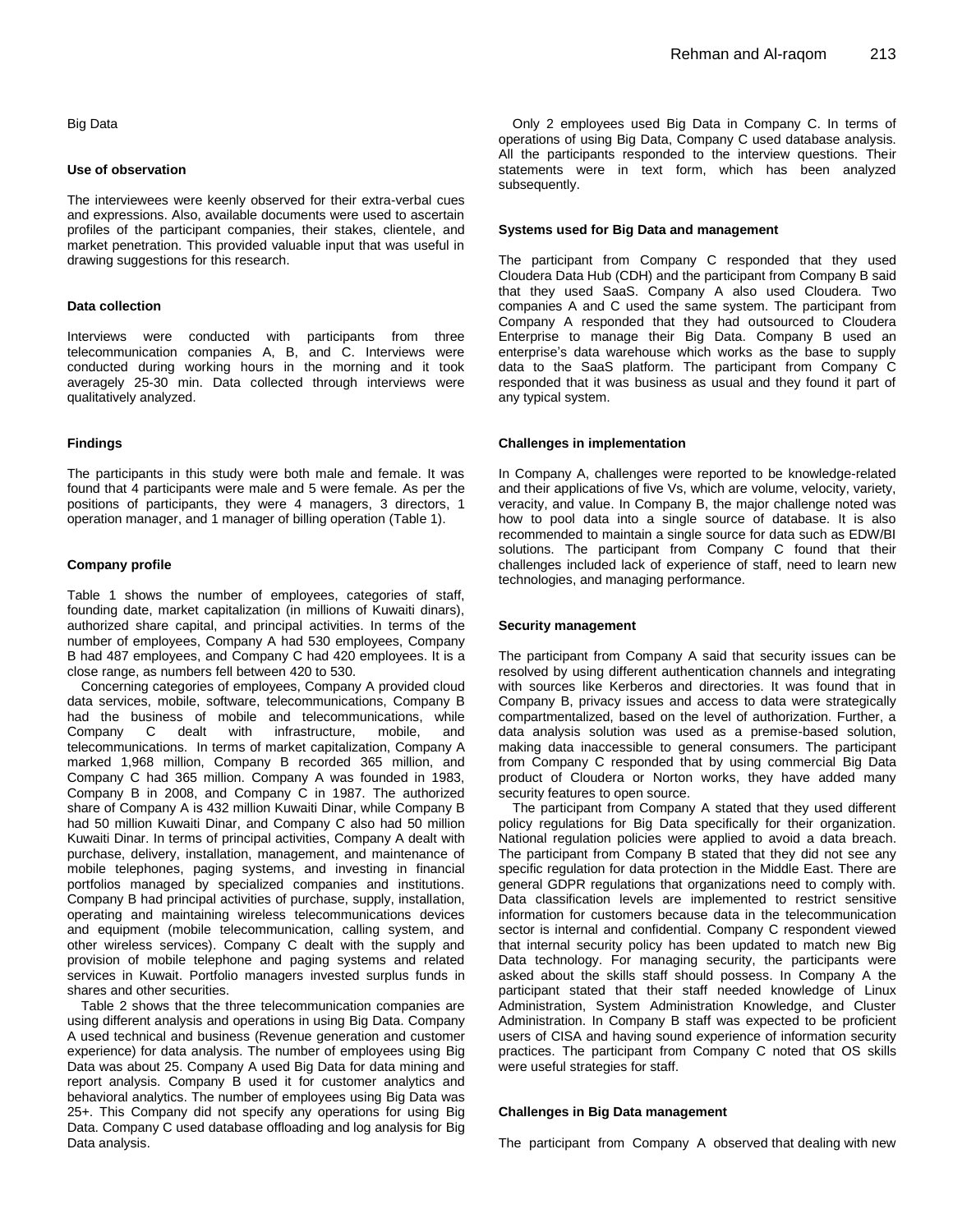Big Data

## **Use of observation**

The interviewees were keenly observed for their extra-verbal cues and expressions. Also, available documents were used to ascertain profiles of the participant companies, their stakes, clientele, and market penetration. This provided valuable input that was useful in drawing suggestions for this research.

#### **Data collection**

Interviews were conducted with participants from three telecommunication companies A, B, and C. Interviews were conducted during working hours in the morning and it took averagely 25-30 min. Data collected through interviews were qualitatively analyzed.

## **Findings**

The participants in this study were both male and female. It was found that 4 participants were male and 5 were female. As per the positions of participants, they were 4 managers, 3 directors, 1 operation manager, and 1 manager of billing operation (Table 1).

#### **Company profile**

Table 1 shows the number of employees, categories of staff, founding date, market capitalization (in millions of Kuwaiti dinars), authorized share capital, and principal activities. In terms of the number of employees, Company A had 530 employees, Company B had 487 employees, and Company C had 420 employees. It is a close range, as numbers fell between 420 to 530.

Concerning categories of employees, Company A provided cloud data services, mobile, software, telecommunications, Company B had the business of mobile and telecommunications, while<br>Company C dealt with infrastructure, mobile, and C dealt with infrastructure, mobile, and telecommunications. In terms of market capitalization, Company A marked 1,968 million, Company B recorded 365 million, and Company C had 365 million. Company A was founded in 1983, Company B in 2008, and Company C in 1987. The authorized share of Company A is 432 million Kuwaiti Dinar, while Company B had 50 million Kuwaiti Dinar, and Company C also had 50 million Kuwaiti Dinar. In terms of principal activities, Company A dealt with purchase, delivery, installation, management, and maintenance of mobile telephones, paging systems, and investing in financial portfolios managed by specialized companies and institutions. Company B had principal activities of purchase, supply, installation, operating and maintaining wireless telecommunications devices and equipment (mobile telecommunication, calling system, and other wireless services). Company C dealt with the supply and provision of mobile telephone and paging systems and related services in Kuwait. Portfolio managers invested surplus funds in shares and other securities.

Table 2 shows that the three telecommunication companies are using different analysis and operations in using Big Data. Company A used technical and business (Revenue generation and customer experience) for data analysis. The number of employees using Big Data was about 25. Company A used Big Data for data mining and report analysis. Company B used it for customer analytics and behavioral analytics. The number of employees using Big Data was 25+. This Company did not specify any operations for using Big Data. Company C used database offloading and log analysis for Big Data analysis.

Only 2 employees used Big Data in Company C. In terms of operations of using Big Data, Company C used database analysis. All the participants responded to the interview questions. Their statements were in text form, which has been analyzed subsequently.

## **Systems used for Big Data and management**

The participant from Company C responded that they used Cloudera Data Hub (CDH) and the participant from Company B said that they used SaaS. Company A also used Cloudera. Two companies A and C used the same system. The participant from Company A responded that they had outsourced to Cloudera Enterprise to manage their Big Data. Company B used an enterprise's data warehouse which works as the base to supply data to the SaaS platform. The participant from Company C responded that it was business as usual and they found it part of any typical system.

### **Challenges in implementation**

In Company A, challenges were reported to be knowledge-related and their applications of five Vs, which are volume, velocity, variety, veracity, and value. In Company B, the major challenge noted was how to pool data into a single source of database. It is also recommended to maintain a single source for data such as EDW/BI solutions. The participant from Company C found that their challenges included lack of experience of staff, need to learn new technologies, and managing performance.

## **Security management**

The participant from Company A said that security issues can be resolved by using different authentication channels and integrating with sources like Kerberos and directories. It was found that in Company B, privacy issues and access to data were strategically compartmentalized, based on the level of authorization. Further, a data analysis solution was used as a premise-based solution, making data inaccessible to general consumers. The participant from Company C responded that by using commercial Big Data product of Cloudera or Norton works, they have added many security features to open source.

The participant from Company A stated that they used different policy regulations for Big Data specifically for their organization. National regulation policies were applied to avoid a data breach. The participant from Company B stated that they did not see any specific regulation for data protection in the Middle East. There are general GDPR regulations that organizations need to comply with. Data classification levels are implemented to restrict sensitive information for customers because data in the telecommunication sector is internal and confidential. Company C respondent viewed that internal security policy has been updated to match new Big Data technology. For managing security, the participants were asked about the skills staff should possess. In Company A the participant stated that their staff needed knowledge of Linux Administration, System Administration Knowledge, and Cluster Administration. In Company B staff was expected to be proficient users of CISA and having sound experience of information security practices. The participant from Company C noted that OS skills were useful strategies for staff.

#### **Challenges in Big Data management**

The participant from Company A observed that dealing with new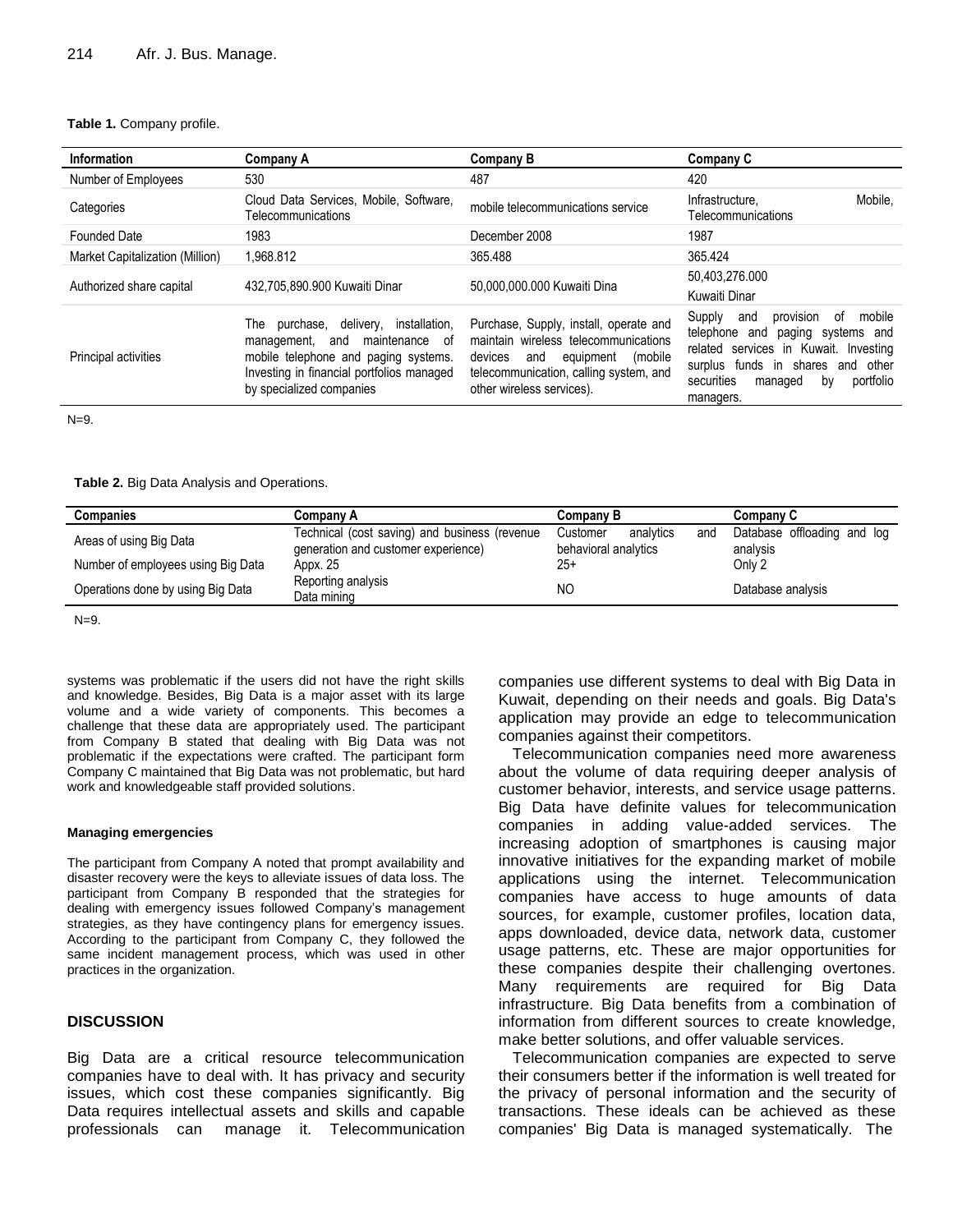## **Table 1.** Company profile.

| Information                     | Company A                                                                                                                                                                                         | Company B                                                                                                                                                                                       | Company C                                                                                                                                                                                                                |
|---------------------------------|---------------------------------------------------------------------------------------------------------------------------------------------------------------------------------------------------|-------------------------------------------------------------------------------------------------------------------------------------------------------------------------------------------------|--------------------------------------------------------------------------------------------------------------------------------------------------------------------------------------------------------------------------|
| Number of Employees             | 530                                                                                                                                                                                               | 487                                                                                                                                                                                             | 420                                                                                                                                                                                                                      |
| Categories                      | Cloud Data Services, Mobile, Software,<br>Telecommunications                                                                                                                                      | mobile telecommunications service                                                                                                                                                               | Mobile.<br>Infrastructure.<br>Telecommunications                                                                                                                                                                         |
| <b>Founded Date</b>             | 1983                                                                                                                                                                                              | December 2008                                                                                                                                                                                   | 1987                                                                                                                                                                                                                     |
| Market Capitalization (Million) | 1.968.812                                                                                                                                                                                         | 365.488                                                                                                                                                                                         | 365.424                                                                                                                                                                                                                  |
| Authorized share capital        | 432.705.890.900 Kuwaiti Dinar                                                                                                                                                                     | 50.000.000.000 Kuwaiti Dina                                                                                                                                                                     | 50,403,276.000<br>Kuwaiti Dinar                                                                                                                                                                                          |
| Principal activities            | purchase, delivery,<br>installation,<br>⊺he<br>maintenance of<br>management, and<br>mobile telephone and paging systems.<br>Investing in financial portfolios managed<br>by specialized companies | Purchase, Supply, install, operate and<br>maintain wireless telecommunications<br>equipment<br>devices<br>(mobile<br>and<br>telecommunication, calling system, and<br>other wireless services). | provision<br>mobile<br>Supply<br>and<br>0f<br>telephone and<br>paging systems and<br>related services in Kuwait. Investing<br>surplus funds in shares and other<br>securities<br>portfolio<br>managed<br>by<br>managers. |

 $N=9$ .

## **Table 2.** Big Data Analysis and Operations.

| Companies                          | Companv A                                                                            | Company B                                            | <b>Company C</b>                        |
|------------------------------------|--------------------------------------------------------------------------------------|------------------------------------------------------|-----------------------------------------|
| Areas of using Big Data            | Technical (cost saving) and business (revenue<br>generation and customer experience) | analytics<br>and<br>Customer<br>behavioral analytics | Database offloading and log<br>analysis |
| Number of employees using Big Data | Appx. 25                                                                             | $25+$                                                | Only 2                                  |
| Operations done by using Big Data  | Reporting analysis<br>Data mining                                                    | <b>NC</b>                                            | Database analysis                       |

 $N=9$ .

systems was problematic if the users did not have the right skills and knowledge. Besides, Big Data is a major asset with its large volume and a wide variety of components. This becomes a challenge that these data are appropriately used. The participant from Company B stated that dealing with Big Data was not problematic if the expectations were crafted. The participant form Company C maintained that Big Data was not problematic, but hard work and knowledgeable staff provided solutions.

#### **Managing emergencies**

The participant from Company A noted that prompt availability and disaster recovery were the keys to alleviate issues of data loss. The participant from Company B responded that the strategies for dealing with emergency issues followed Company"s management strategies, as they have contingency plans for emergency issues. According to the participant from Company C, they followed the same incident management process, which was used in other practices in the organization.

## **DISCUSSION**

Big Data are a critical resource telecommunication companies have to deal with. It has privacy and security issues, which cost these companies significantly. Big Data requires intellectual assets and skills and capable professionals can manage it. Telecommunication companies use different systems to deal with Big Data in Kuwait, depending on their needs and goals. Big Data's application may provide an edge to telecommunication companies against their competitors.

Telecommunication companies need more awareness about the volume of data requiring deeper analysis of customer behavior, interests, and service usage patterns. Big Data have definite values for telecommunication companies in adding value-added services. The increasing adoption of smartphones is causing major innovative initiatives for the expanding market of mobile applications using the internet. Telecommunication companies have access to huge amounts of data sources, for example, customer profiles, location data, apps downloaded, device data, network data, customer usage patterns, etc. These are major opportunities for these companies despite their challenging overtones. Many requirements are required for Big Data infrastructure. Big Data benefits from a combination of information from different sources to create knowledge, make better solutions, and offer valuable services.

Telecommunication companies are expected to serve their consumers better if the information is well treated for the privacy of personal information and the security of transactions. These ideals can be achieved as these companies' Big Data is managed systematically. The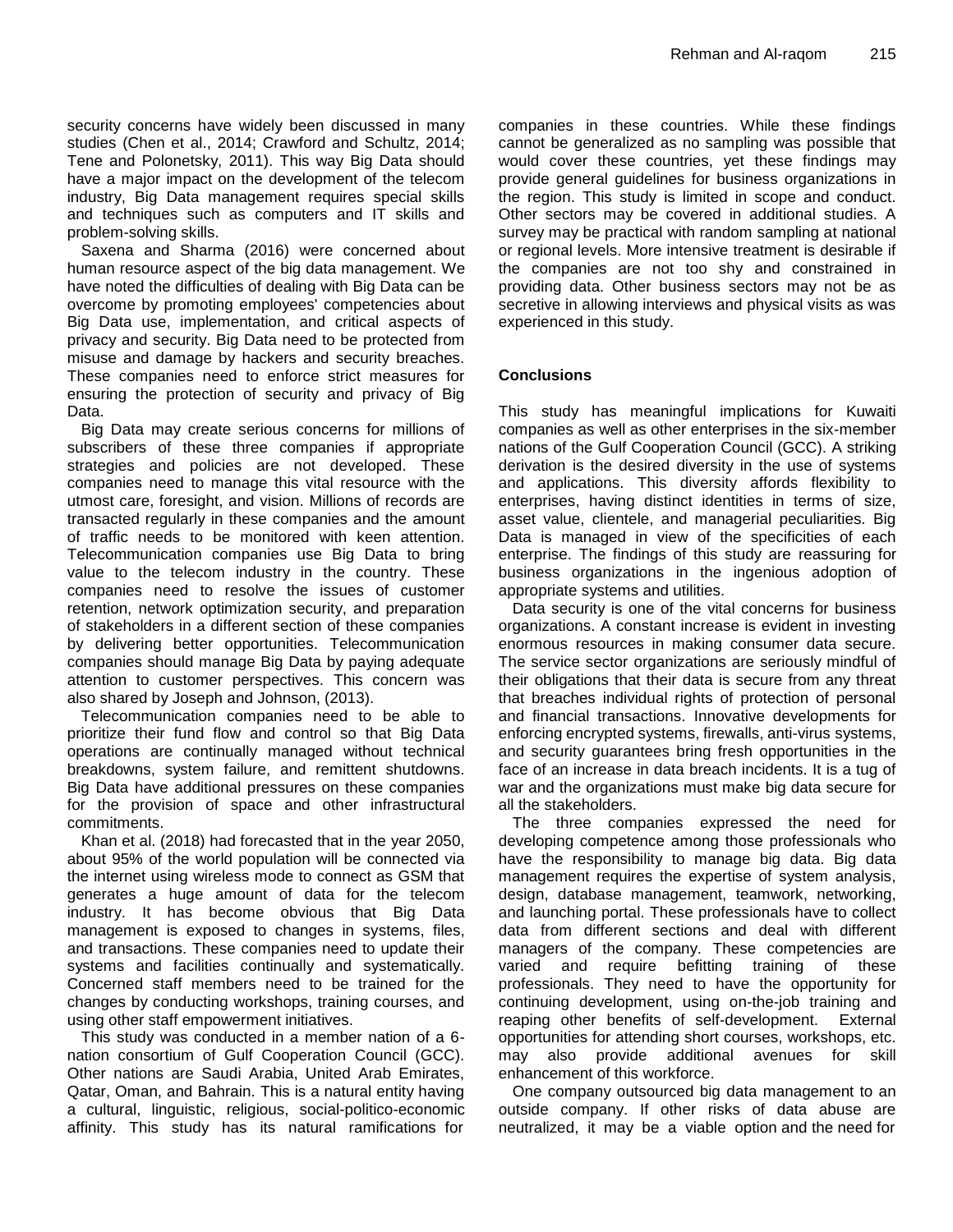security concerns have widely been discussed in many studies (Chen et al., 2014; Crawford and Schultz, 2014; Tene and Polonetsky, 2011). This way Big Data should have a major impact on the development of the telecom industry, Big Data management requires special skills and techniques such as computers and IT skills and problem-solving skills.

Saxena and Sharma (2016) were concerned about human resource aspect of the big data management. We have noted the difficulties of dealing with Big Data can be overcome by promoting employees' competencies about Big Data use, implementation, and critical aspects of privacy and security. Big Data need to be protected from misuse and damage by hackers and security breaches. These companies need to enforce strict measures for ensuring the protection of security and privacy of Big Data.

Big Data may create serious concerns for millions of subscribers of these three companies if appropriate strategies and policies are not developed. These companies need to manage this vital resource with the utmost care, foresight, and vision. Millions of records are transacted regularly in these companies and the amount of traffic needs to be monitored with keen attention. Telecommunication companies use Big Data to bring value to the telecom industry in the country. These companies need to resolve the issues of customer retention, network optimization security, and preparation of stakeholders in a different section of these companies by delivering better opportunities. Telecommunication companies should manage Big Data by paying adequate attention to customer perspectives. This concern was also shared by Joseph and Johnson, (2013).

Telecommunication companies need to be able to prioritize their fund flow and control so that Big Data operations are continually managed without technical breakdowns, system failure, and remittent shutdowns. Big Data have additional pressures on these companies for the provision of space and other infrastructural commitments.

Khan et al. (2018) had forecasted that in the year 2050, about 95% of the world population will be connected via the internet using wireless mode to connect as GSM that generates a huge amount of data for the telecom industry. It has become obvious that Big Data management is exposed to changes in systems, files, and transactions. These companies need to update their systems and facilities continually and systematically. Concerned staff members need to be trained for the changes by conducting workshops, training courses, and using other staff empowerment initiatives.

This study was conducted in a member nation of a 6 nation consortium of Gulf Cooperation Council (GCC). Other nations are Saudi Arabia, United Arab Emirates, Qatar, Oman, and Bahrain. This is a natural entity having a cultural, linguistic, religious, social-politico-economic affinity. This study has its natural ramifications for companies in these countries. While these findings cannot be generalized as no sampling was possible that would cover these countries, yet these findings may provide general guidelines for business organizations in the region. This study is limited in scope and conduct. Other sectors may be covered in additional studies. A survey may be practical with random sampling at national or regional levels. More intensive treatment is desirable if the companies are not too shy and constrained in providing data. Other business sectors may not be as secretive in allowing interviews and physical visits as was experienced in this study.

# **Conclusions**

This study has meaningful implications for Kuwaiti companies as well as other enterprises in the six-member nations of the Gulf Cooperation Council (GCC). A striking derivation is the desired diversity in the use of systems and applications. This diversity affords flexibility to enterprises, having distinct identities in terms of size, asset value, clientele, and managerial peculiarities. Big Data is managed in view of the specificities of each enterprise. The findings of this study are reassuring for business organizations in the ingenious adoption of appropriate systems and utilities.

Data security is one of the vital concerns for business organizations. A constant increase is evident in investing enormous resources in making consumer data secure. The service sector organizations are seriously mindful of their obligations that their data is secure from any threat that breaches individual rights of protection of personal and financial transactions. Innovative developments for enforcing encrypted systems, firewalls, anti-virus systems, and security guarantees bring fresh opportunities in the face of an increase in data breach incidents. It is a tug of war and the organizations must make big data secure for all the stakeholders.

The three companies expressed the need for developing competence among those professionals who have the responsibility to manage big data. Big data management requires the expertise of system analysis, design, database management, teamwork, networking, and launching portal. These professionals have to collect data from different sections and deal with different managers of the company. These competencies are varied and require befitting training of these professionals. They need to have the opportunity for continuing development, using on-the-job training and reaping other benefits of self-development. External opportunities for attending short courses, workshops, etc. may also provide additional avenues for skill enhancement of this workforce.

One company outsourced big data management to an outside company. If other risks of data abuse are neutralized, it may be a viable option and the need for